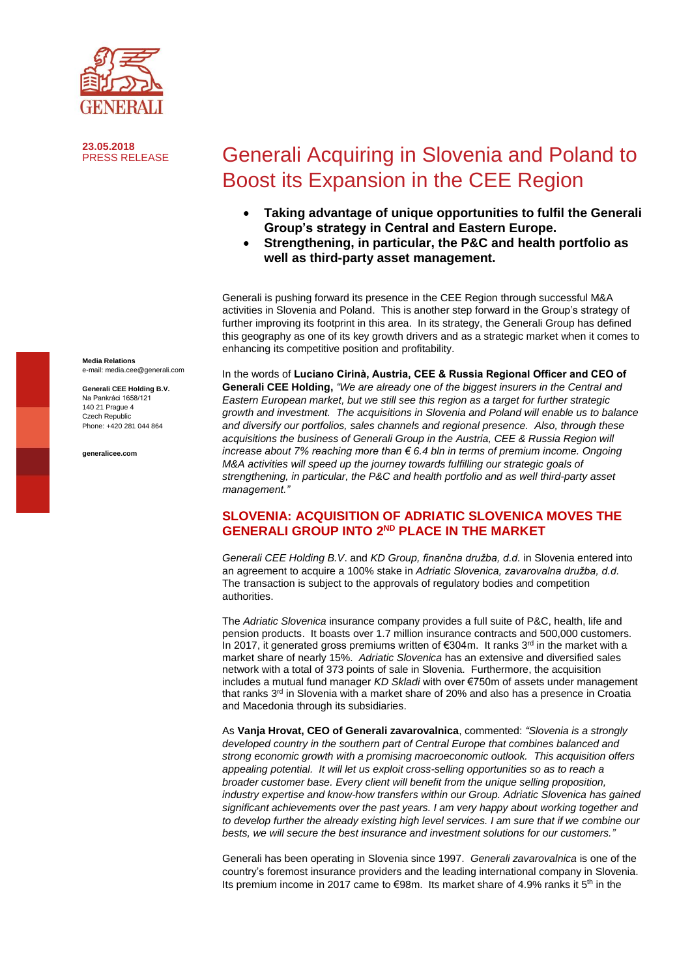

**23.05.2018**

# Generali Acquiring in Slovenia and Poland to Boost its Expansion in the CEE Region

- **Taking advantage of unique opportunities to fulfil the Generali Group's strategy in Central and Eastern Europe.**
- **Strengthening, in particular, the P&C and health portfolio as well as third-party asset management.**

Generali is pushing forward its presence in the CEE Region through successful M&A activities in Slovenia and Poland. This is another step forward in the Group's strategy of further improving its footprint in this area. In its strategy, the Generali Group has defined this geography as one of its key growth drivers and as a strategic market when it comes to enhancing its competitive position and profitability.

In the words of **Luciano Cirinà, Austria, CEE & Russia Regional Officer and CEO of Generali CEE Holding,** *"We are already one of the biggest insurers in the Central and Eastern European market, but we still see this region as a target for further strategic growth and investment. The acquisitions in Slovenia and Poland will enable us to balance and diversify our portfolios, sales channels and regional presence. Also, through these acquisitions the business of Generali Group in the Austria, CEE & Russia Region will increase about 7% reaching more than € 6.4 bln in terms of premium income. Ongoing M&A activities will speed up the journey towards fulfilling our strategic goals of strengthening, in particular, the P&C and health portfolio and as well third-party asset management."*

### **SLOVENIA: ACQUISITION OF ADRIATIC SLOVENICA MOVES THE GENERALI GROUP INTO 2<sup>ND</sup> PLACE IN THE MARKET**

*Generali CEE Holding B.V*. and *KD Group, finančna družba, d.d.* in Slovenia entered into an agreement to acquire a 100% stake in *Adriatic Slovenica, zavarovalna družba, d.d.* The transaction is subject to the approvals of regulatory bodies and competition authorities.

The *Adriatic Slovenica* insurance company provides a full suite of P&C, health, life and pension products. It boasts over 1.7 million insurance contracts and 500,000 customers. In 2017, it generated gross premiums written of €304m. It ranks 3<sup>rd</sup> in the market with a market share of nearly 15%. *Adriatic Slovenica* has an extensive and diversified sales network with a total of 373 points of sale in Slovenia. Furthermore, the acquisition includes a mutual fund manager *KD Skladi* with over €750m of assets under management that ranks 3 rd in Slovenia with a market share of 20% and also has a presence in Croatia and Macedonia through its subsidiaries.

As **Vanja Hrovat, CEO of Generali zavarovalnica**, commented: *"Slovenia is a strongly developed country in the southern part of Central Europe that combines balanced and strong economic growth with a promising macroeconomic outlook. This acquisition offers appealing potential. It will let us exploit cross-selling opportunities so as to reach a broader customer base. Every client will benefit from the unique selling proposition, industry expertise and know-how transfers within our Group. Adriatic Slovenica has gained significant achievements over the past years. I am very happy about working together and to develop further the already existing high level services. I am sure that if we combine our bests, we will secure the best insurance and investment solutions for our customers."*

Generali has been operating in Slovenia since 1997. *Generali zavarovalnica* is one of the country's foremost insurance providers and the leading international company in Slovenia. Its premium income in 2017 came to  $€98m$ . Its market share of 4.9% ranks it 5<sup>th</sup> in the

**Media Relations** e-mail: media.cee@generali.com

**Generali CEE Holding B.V.** Na Pankráci 1658/121 140 21 Prague 4 Czech Republic Phone: +420 281 044 864

**generalicee.com**